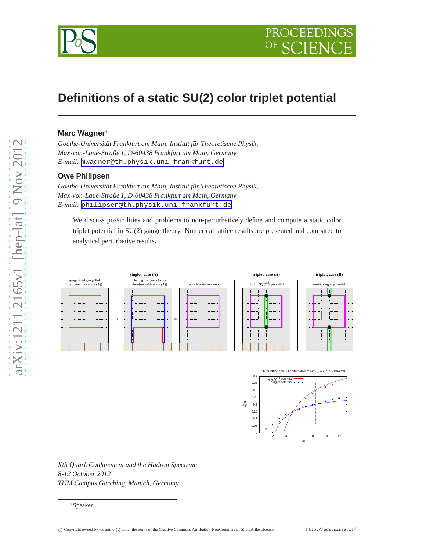

# **Definitions of a static SU(2) color triplet potential**

# **Marc Wagner**<sup>∗</sup>

*Goethe-Universität Frankfurt am Main, Institut für Theoretische Physik, Max-von-Laue-Straße 1, D-60438 Frankfurt am Main, Germany E-mail:* [mwagner@th.physik.uni-frankfurt.de](mailto:mwagner@th.physik.uni-frankfurt.de)

# **Owe Philipsen**

*Goethe-Universität Frankfurt am Main, Institut für Theoretische Physik, Max-von-Laue-Straße 1, D-60438 Frankfurt am Main, Germany E-mail:* [philipsen@th.physik.uni-frankfurt.de](mailto:philipsen@th.physik.uni-frankfurt.de)

We discuss possibilities and problems to non-perturbatively define and compute a static color triplet potential in SU(2) gauge theory. Numerical lattice results are presented and compared to analytical perturbative results.





*Xth Quark Confinement and the Hadron Spectrum 8-12 October 2012 TUM Campus Garching, Munich, Germany*

<sup>∗</sup>Speaker.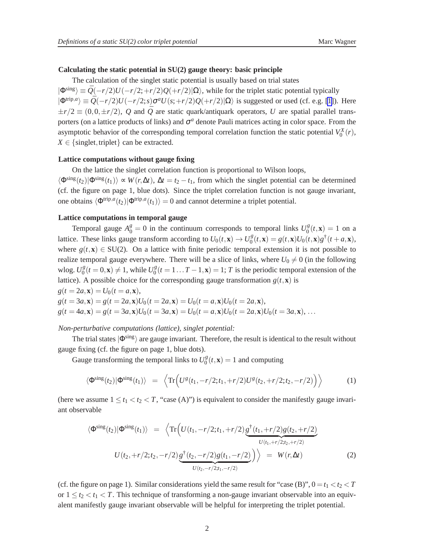#### **Calculating the static potential in SU(2) gauge theory: basic principle**

The calculation of the singlet static potential is usually based on trial states  $|\Phi^{\text{sing}}\rangle \equiv \bar{Q}(-r/2)U(-r/2;+r/2)Q(+r/2)|\Omega\rangle$ , while for the triplet static potential typically  $|\Phi^{\text{trip},a}\rangle \equiv \bar{Q}(-r/2)U(-r/2;s)\sigma^a U(s+r/2)Q(+r/2)|\Omega\rangle$  is suggested or used (cf. e.g. [\[1\]](#page-3-0)). Here  $\pm r/2 \equiv (0,0,\pm r/2), Q$  and  $\overline{Q}$  are static quark/antiquark operators, *U* are spatial parallel transporters (on a lattice products of links) and  $\sigma^a$  denote Pauli matrices acting in color space. From the asymptotic behavior of the corresponding temporal correlation function the static potential  $V_0^X(r)$ ,  $X \in \{\text{singlet}, \text{triplet}\}\)$  can be extracted.

#### **Lattice computations without gauge fixing**

On the lattice the singlet correlation function is proportional to Wilson loops,

 $\langle \Phi^{\text{sing}}(t_2)|\Phi^{\text{sing}}(t_1)\rangle \propto W(r,\Delta t)$ ,  $\Delta t = t_2 - t_1$ , from which the singlet potential can be determined (cf. the figure on page 1, blue dots). Since the triplet correlation function is not gauge invariant, one obtains  $\langle \Phi^{\text{trip},a}(t_2)|\Phi^{\text{trip},a}(t_1)\rangle = 0$  and cannot determine a triplet potential.

# **Lattice computations in temporal gauge**

Temporal gauge  $A_0^g = 0$  in the continuum corresponds to temporal links  $U_0^g$  $b_0^g(t, \mathbf{x}) = 1$  on a lattice. These links gauge transform according to  $U_0(t, \mathbf{x}) \to U_0^g$  $g_0^g(t, \mathbf{x}) = g(t, \mathbf{x})U_0(t, \mathbf{x})g^{\dagger}(t + a, \mathbf{x}),$ where  $g(t, \mathbf{x}) \in SU(2)$ . On a lattice with finite periodic temporal extension it is not possible to realize temporal gauge everywhere. There will be a slice of links, where  $U_0 \neq 0$  (in the following wlog.  $U_0^g$  $U_0^g(t = 0, \mathbf{x}) \neq 1$ , while  $U_0^g$  $\frac{g}{0}(t = 1...T - 1, \mathbf{x}) = 1;$  *T* is the periodic temporal extension of the lattice). A possible choice for the corresponding gauge transformation  $g(t, \mathbf{x})$  is  $g(t = 2a, \mathbf{x}) = U_0(t = a, \mathbf{x}),$ 

$$
g(t = 3a, \mathbf{x}) = g(t = 2a, \mathbf{x})U_0(t = 2a, \mathbf{x}) = U_0(t = a, \mathbf{x})U_0(t = 2a, \mathbf{x}),
$$
  
\n
$$
g(t = 4a, \mathbf{x}) = g(t = 3a, \mathbf{x})U_0(t = 3a, \mathbf{x}) = U_0(t = a, \mathbf{x})U_0(t = 2a, \mathbf{x})U_0(t = 3a, \mathbf{x}), ...
$$

#### *Non-perturbative computations (lattice), singlet potential:*

The trial states  $|\Phi^{\text{sing}}\rangle$  are gauge invariant. Therefore, the result is identical to the result without gauge fixing (cf. the figure on page 1, blue dots).

Gauge transforming the temporal links to  $U_0^g$  $\int_0^g (t, \mathbf{x}) = 1$  and computing

$$
\langle \Phi^{\rm sing}(t_2) | \Phi^{\rm sing}(t_1) \rangle = \left\langle \text{Tr} \Big( U^g(t_1, -r/2; t_1, +r/2) U^g(t_2, +r/2; t_2, -r/2) \Big) \right\rangle \tag{1}
$$

(here we assume  $1 \le t_1 < t_2 < T$ , "case (A)") is equivalent to consider the manifestly gauge invariant observable

$$
\langle \Phi^{\text{sing}}(t_2) | \Phi^{\text{sing}}(t_1) \rangle = \langle \text{Tr} \Big( U(t_1, -r/2; t_1, +r/2) \underbrace{\mathfrak{g}^{\dagger}(t_1, +r/2) \mathfrak{g}(t_2, +r/2)}_{U(t_1, +r/2; t_2, +r/2)} \Big)
$$
  

$$
U(t_2, +r/2; t_2, -r/2) \underbrace{\mathfrak{g}^{\dagger}(t_2, -r/2) \mathfrak{g}(t_1, -r/2)}_{U(t_2, -r/2; t_1, -r/2)} \Big) \rangle = W(r, \Delta t)
$$
 (2)

(cf. the figure on page 1). Similar considerations yield the same result for "case (B)",  $0 = t_1 < t_2 < T$ or  $1 \le t_2 < t_1 < T$ . This technique of transforming a non-gauge invariant observable into an equivalent manifestly gauge invariant observable will be helpful for interpreting the triplet potential.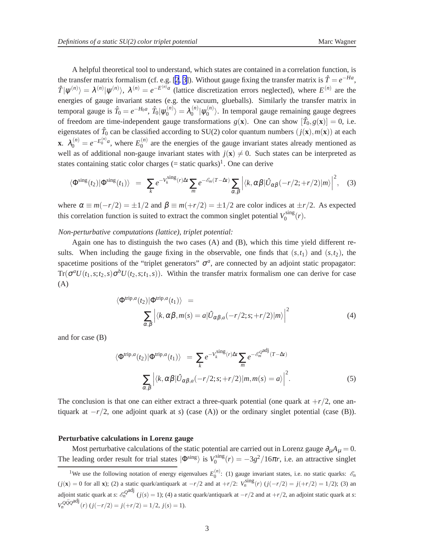A helpful theoretical tool to understand, which states are contained in a correlation function, is the transfer matrix formalism (cf. e.g. [[2](#page-3-0), [3\]](#page-3-0)). Without gauge fixing the transfer matrix is  $\hat{T} = e^{-Ha}$ ,  $\hat{T}|\psi^{(n)}\rangle = \lambda^{(n)}|\psi^{(n)}\rangle$ ,  $\lambda^{(n)} = e^{-E^{(n)}a}$  (lattice discretization errors neglected), where  $E^{(n)}$  are the energies of gauge invariant states (e.g. the vacuum, glueballs). Similarly the transfer matrix in temporal gauge is  $\hat{T}_0 = e^{-H_0 a}$ ,  $\hat{T}_0 |\psi_0^{(n)}\rangle$  $\langle n \rangle_0^{(n)} \rangle = \lambda_0^{(n)}$  $\frac{\binom{n}{0}}{ \mathsf{v}'^0_0}$  $\binom{n}{0}$ . In temporal gauge remaining gauge degrees of freedom are time-independent gauge transformations  $g(\mathbf{x})$ . One can show  $[\hat{T}_0, g(\mathbf{x})] = 0$ , i.e. eigenstates of  $\hat{T}_0$  can be classified according to SU(2) color quantum numbers  $(j(\mathbf{x}), m(\mathbf{x}))$  at each **x**.  $\lambda_0^{(n)} = e^{-E_0^{(n)}a}$ , where  $E_0^{(n)}$  $\binom{0}{0}$  are the energies of the gauge invariant states already mentioned as well as of additional non-gauge invariant states with  $j(x) \neq 0$ . Such states can be interpreted as states containing static color charges  $(=$  static quarks $)^1$ . One can derive

$$
\langle \Phi^{\rm sing}(t_2) | \Phi^{\rm sing}(t_1) \rangle = \sum_k e^{-V_k^{\rm sing}(r)\Delta t} \sum_m e^{-\mathscr{E}_m(T-\Delta t)} \sum_{\alpha,\beta} \left| \langle k, \alpha \beta | \hat{U}_{\alpha\beta}(-r/2; +r/2) | m \rangle \right|^2, \quad (3)
$$

where  $\alpha \equiv m(-r/2) = \pm 1/2$  and  $\beta \equiv m(+r/2) = \pm 1/2$  are color indices at  $\pm r/2$ . As expected this correlation function is suited to extract the common singlet potential  $V_0^{\text{sing}}$  $\int_0^{\text{sing}}(r).$ 

## *Non-perturbative computations (lattice), triplet potential:*

Again one has to distinguish the two cases (A) and (B), which this time yield different results. When including the gauge fixing in the observable, one finds that  $(s,t_1)$  and  $(s,t_2)$ , the spacetime positions of the "triplet generators"  $\sigma^a$ , are connected by an adjoint static propagator:  $Tr(\sigma^a U(t_1,s;t_2,s)\sigma^b U(t_2,s;t_1,s))$ . Within the transfer matrix formalism one can derive for case (A)

$$
\langle \Phi^{\text{trip},a}(t_2) | \Phi^{\text{trip},a}(t_1) \rangle =
$$
  

$$
\sum_{\alpha,\beta} \left| \langle k, \alpha\beta, m(s) = a | \hat{U}_{\alpha\beta,a}(-r/2;s; +r/2) | m \rangle \right|^2
$$
 (4)

and for case (B)

$$
\Phi^{\text{trip},a}(t_2)|\Phi^{\text{trip},a}(t_1)\rangle = \sum_{k} e^{-V_k^{\text{sing}}(r)\Delta t} \sum_{m} e^{-\mathcal{E}_m^{\Omega^{\text{adj}}}(T-\Delta t)}
$$

$$
\sum_{\alpha,\beta} \left| \langle k, \alpha \beta | \hat{U}_{\alpha\beta,a}(-r/2;s;+r/2) | m, m(s) = a \rangle \right|^2. \tag{5}
$$

The conclusion is that one can either extract a three-quark potential (one quark at  $+r/2$ , one antiquark at  $-r/2$ , one adjoint quark at *s*) (case (A)) or the ordinary singlet potential (case (B)).

#### **Perturbative calculations in Lorenz gauge**

 $\langle$ 

Most perturbative calculations of the static potential are carried out in Lorenz gauge  $\partial_{\mu}A_{\mu} = 0$ . The leading order result for trial states  $|\Phi^{\text{sing}}\rangle$  is  $V_0^{\text{sing}}$  $\int_0^{\text{sing}}(r) = -3g^2/16\pi r$ , i.e. an attractive singlet

<sup>&</sup>lt;sup>1</sup>We use the following notation of energy eigenvalues  $E_0^{(n)}$ : (1) gauge invariant states, i.e. no static quarks:  $\mathcal{E}_n$  $(j(\mathbf{x}) = 0$  for all **x**); (2) a static quark/antiquark at  $-r/2$  and at  $+r/2$ :  $V_n^{\text{sing}}(r)$   $(j(-r/2) = j(+r/2) = 1/2)$ ; (3) an adjoint static quark at *s*:  $\mathcal{E}_n^{\mathcal{Q}}$ <sup>adj</sup> (*j*(*s*) = 1); (4) a static quark/antiquark at  $-r/2$  and at  $+r/2$ , an adjoint static quark at *s*:  $V_n^{\mathcal{Q}\bar{\mathcal{Q}}\mathcal{Q}}^{\text{adj}}(r)$  (*j*(−*r*/2) = *j*(+*r*/2) = 1/2, *j*(*s*) = 1).